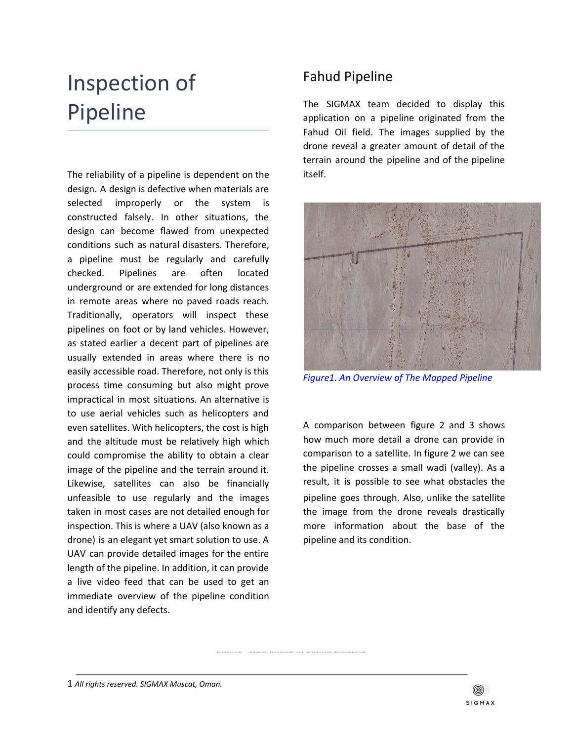## Inspection of Pipeline

The reliability of a pipeline is dependent on the design. A design is defective when materials are selected improperly or the system is constructed falsely. In other situations, the design can become flawed from unexpected conditions such as natural disasters. Therefore, a pipeline must be regularly and carefully checked. Pipelines are often located underground or are extended for long distances in remote areas where no paved roads reach. Traditionally, operators will inspect these pipelines on foot or by land vehicles. However, as stated earlier a decent part of pipelines are usually extended in areas where there is no easily accessible road. Therefore, not only is this process time consuming but also might prove impractical in most situations. An alternative is to use aerial vehicles such as helicopters and even satellites. With helicopters, the cost is high and the altitude must be relatively high which could compromise the ability to obtain a clear image of the pipeline and the terrain around it. Likewise, satellites can also be financially unfeasible to use regularly and the images taken in most cases are not detailed enough for inspection. This is where a UAV (also known as a drone) is an elegant yet smart solution to use. A UAV can provide detailed images for the entire length of the pipeline. In addition, it can provide a live video feed that can be used to get an immediate overview of the pipeline condition and identify any defects.

## Fahud Pipeline

The SIGMAX team decided to display this application on a pipeline originated from the Fahud Oil field. The images supplied by the drone reveal a greater amount of detail of the terrain around the pipeline and of the pipeline itself.



*Figure1. An Overview of The Mapped Pipeline*

A comparison between figure 2 and 3 shows how much more detail a drone can provide in comparison to a satellite. In figure 2 we can see the pipeline crosses a small wadi (valley). As a result, it is possible to see what obstacles the pipeline goes through. Also, unlike the satellite the image from the drone reveals drastically more information about the base of the pipeline and its condition.

1 *All rights reserved. SIGMAX Muscat, Oman.*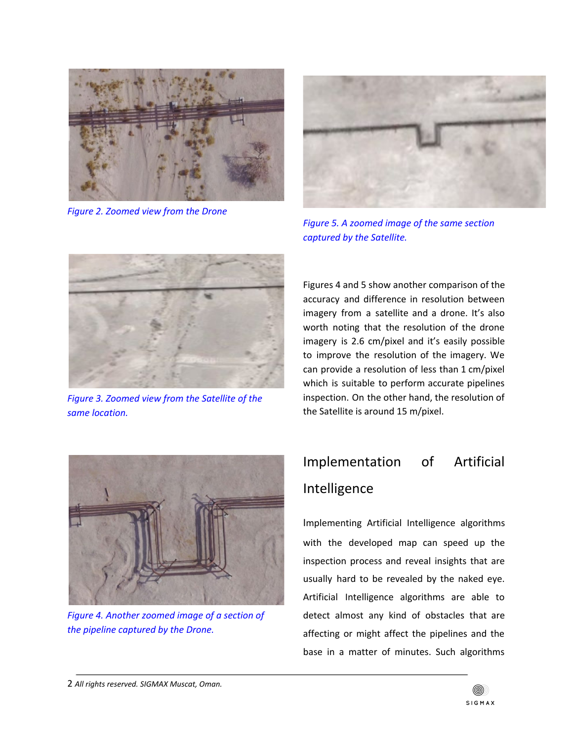

*Figure 2. Zoomed view from the Drone*



*Figure 5. A zoomed image of the same section captured by the Satellite.*



*Figure 3. Zoomed view from the Satellite of the same location.*

Figures 4 and 5 show another comparison of the accuracy and difference in resolution between imagery from a satellite and a drone. It's also worth noting that the resolution of the drone imagery is 2.6 cm/pixel and it's easily possible to improve the resolution of the imagery. We can provide a resolution of less than 1 cm/pixel which is suitable to perform accurate pipelines inspection. On the other hand, the resolution of the Satellite is around 15 m/pixel.



*Figure 4. Another zoomed image of a section of the pipeline captured by the Drone.*

## Implementation of Artificial Intelligence

Implementing Artificial Intelligence algorithms with the developed map can speed up the inspection process and reveal insights that are usually hard to be revealed by the naked eye. Artificial Intelligence algorithms are able to detect almost any kind of obstacles that are affecting or might affect the pipelines and the base in a matter of minutes. Such algorithms